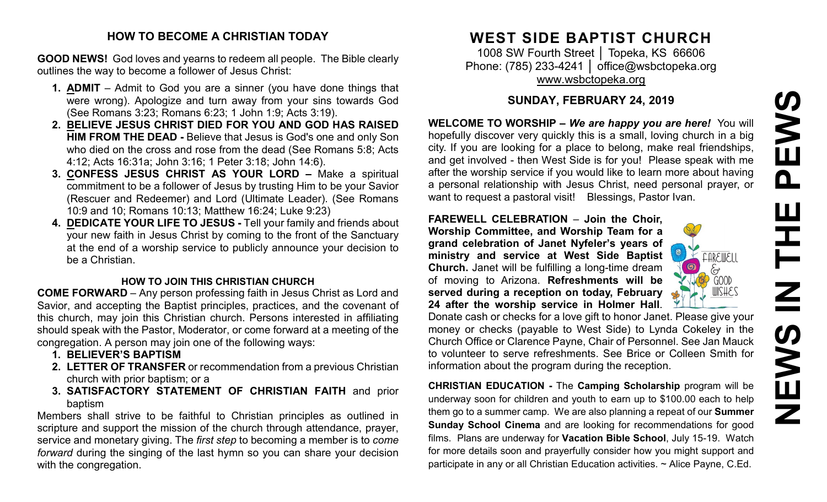# PEWS **NEWS IN THE PEWS**존  $\overline{\mathbf{Z}}$ NEWS

#### **HOW TO BECOME A CHRISTIAN TODAY**

**GOOD NEWS!** God loves and yearns to redeem all people. The Bible clearly outlines the way to become a follower of Jesus Christ:

- **1. ADMIT** Admit to God you are a sinner (you have done things that were wrong). Apologize and turn away from your sins towards God (See Romans 3:23; Romans 6:23; 1 John 1:9; Acts 3:19).
- **2. BELIEVE JESUS CHRIST DIED FOR YOU AND GOD HAS RAISED HIM FROM THE DEAD -** Believe that Jesus is God's one and only Son who died on the cross and rose from the dead (See Romans 5:8; Acts 4:12; Acts 16:31a; John 3:16; 1 Peter 3:18; John 14:6).
- **3. CONFESS JESUS CHRIST AS YOUR LORD –** Make a spiritual commitment to be a follower of Jesus by trusting Him to be your Savior (Rescuer and Redeemer) and Lord (Ultimate Leader). (See Romans 10:9 and 10; Romans 10:13; Matthew 16:24; Luke 9:23)
- **4. DEDICATE YOUR LIFE TO JESUS -** Tell your family and friends about your new faith in Jesus Christ by coming to the front of the Sanctuary at the end of a worship service to publicly announce your decision to be a Christian.

#### **HOW TO JOIN THIS CHRISTIAN CHURCH**

**COME FORWARD** – Any person professing faith in Jesus Christ as Lord and Savior, and accepting the Baptist principles, practices, and the covenant of this church, may join this Christian church. Persons interested in affiliating should speak with the Pastor, Moderator, or come forward at a meeting of the congregation. A person may join one of the following ways:

- **1. BELIEVER'S BAPTISM**
- **2. LETTER OF TRANSFER** or recommendation from a previous Christian church with prior baptism; or a
- **3. SATISFACTORY STATEMENT OF CHRISTIAN FAITH** and prior baptism

Members shall strive to be faithful to Christian principles as outlined in scripture and support the mission of the church through attendance, prayer, service and monetary giving. The *first step* to becoming a member is to *come forward* during the singing of the last hymn so you can share your decision with the congregation.

## **WEST SIDE BAPTIST CHURCH**

1008 SW Fourth Street | Topeka, KS 66606 Phone: (785) 233-4241 │ [office@wsbctopeka.org](mailto:office@wsbctopeka.org) [www.wsbctopeka.org](http://www.wsbctopeka.org/)

#### **SUNDAY, FEBRUARY 24, 2019**

**WELCOME TO WORSHIP –** *We are happy you are here!* You will hopefully discover very quickly this is a small, loving church in a big city. If you are looking for a place to belong, make real friendships, and get involved - then West Side is for you! Please speak with me after the worship service if you would like to learn more about having a personal relationship with Jesus Christ, need personal prayer, or want to request a pastoral visit! Blessings, Pastor Ivan.

**FAREWELL CELEBRATION** – **Join the Choir, Worship Committee, and Worship Team for a grand celebration of Janet Nyfeler's years of ministry and service at West Side Baptist Church.** Janet will be fulfilling a long-time dream of moving to Arizona. **Refreshments will be served during a reception on today, February 24 after the worship service in Holmer Hall**.



Donate cash or checks for a love gift to honor Janet. Please give your money or checks (payable to West Side) to Lynda Cokeley in the Church Office or Clarence Payne, Chair of Personnel. See Jan Mauck to volunteer to serve refreshments. See Brice or Colleen Smith for information about the program during the reception.

**CHRISTIAN EDUCATION -** The **Camping Scholarship** program will be underway soon for children and youth to earn up to \$100.00 each to help them go to a summer camp. We are also planning a repeat of our **Summer Sunday School Cinema** and are looking for recommendations for good films. Plans are underway for **Vacation Bible School**, July 15-19. Watch for more details soon and prayerfully consider how you might support and participate in any or all Christian Education activities. ~ Alice Payne, C.Ed.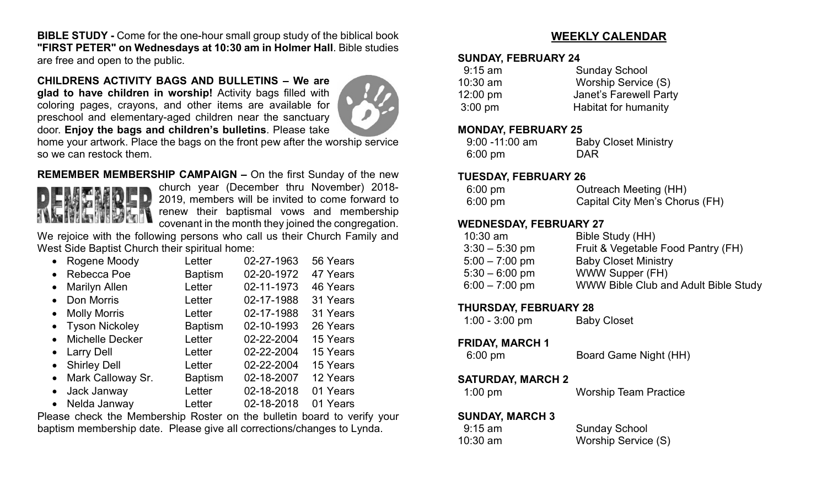**BIBLE STUDY -** Come for the one-hour small group study of the biblical book **"FIRST PETER" on Wednesdays at 10:30 am in Holmer Hall**. Bible studies are free and open to the public.

#### **CHILDRENS ACTIVITY BAGS AND BULLETINS – We are**

**glad to have children in worship!** Activity bags filled with coloring pages, crayons, and other items are available for preschool and elementary-aged children near the sanctuary door. **Enjoy the bags and children's bulletins**. Please take



home your artwork. Place the bags on the front pew after the worship service so we can restock them.

**REMEMBER MEMBERSHIP CAMPAIGN –** On the first Sunday of the new



church year (December thru November) 2018- 2019, members will be invited to come forward to renew their baptismal vows and membership covenant in the month they joined the congregation.

We rejoice with the following persons who call us their Church Family and West Side Baptist Church their spiritual home:

| Rogene Moody<br>$\bullet$           | Letter         | 02-27-1963 | 56 Years |
|-------------------------------------|----------------|------------|----------|
| Rebecca Poe<br>$\bullet$            | <b>Baptism</b> | 02-20-1972 | 47 Years |
| <b>Marilyn Allen</b><br>$\bullet$   | Letter         | 02-11-1973 | 46 Years |
| Don Morris<br>$\bullet$             | Letter         | 02-17-1988 | 31 Years |
| <b>Molly Morris</b><br>$\bullet$    | Letter         | 02-17-1988 | 31 Years |
| • Tyson Nickoley                    | <b>Baptism</b> | 02-10-1993 | 26 Years |
| <b>Michelle Decker</b><br>$\bullet$ | Letter         | 02-22-2004 | 15 Years |
| • Larry Dell                        | Letter         | 02-22-2004 | 15 Years |
| • Shirley Dell                      | Letter         | 02-22-2004 | 15 Years |
| Mark Calloway Sr.<br>$\bullet$      | <b>Baptism</b> | 02-18-2007 | 12 Years |
| Jack Janway<br>$\bullet$            | Letter         | 02-18-2018 | 01 Years |
| Nelda Janway<br>$\bullet$           | Letter         | 02-18-2018 | 01 Years |

Please check the Membership Roster on the bulletin board to verify your baptism membership date. Please give all corrections/changes to Lynda.

#### **WEEKLY CALENDAR**

#### **SUNDAY, FEBRUARY 24**

| $9:15$ am          | <b>Sunday School</b>   |
|--------------------|------------------------|
| $10:30$ am         | Worship Service (S)    |
| $12:00 \text{ pm}$ | Janet's Farewell Party |
| $3:00 \text{ pm}$  | Habitat for humanity   |

#### **MONDAY, FEBRUARY 25**

| $9:00 - 11:00$ am | <b>Baby Closet Ministry</b> |
|-------------------|-----------------------------|
| $6:00 \text{ pm}$ | DAR                         |

#### **TUESDAY, FEBRUARY 26**

| $6:00 \text{ pm}$ | Outreach Meeting (HH)          |
|-------------------|--------------------------------|
| $6:00 \text{ pm}$ | Capital City Men's Chorus (FH) |

#### **WEDNESDAY, FEBRUARY 27**

| $10:30$ am       | Bible Study (HH)                            |
|------------------|---------------------------------------------|
| $3:30 - 5:30$ pm | Fruit & Vegetable Food Pantry (FH)          |
| $5:00 - 7:00$ pm | <b>Baby Closet Ministry</b>                 |
| $5:30 - 6:00$ pm | WWW Supper (FH)                             |
| $6:00 - 7:00$ pm | <b>WWW Bible Club and Adult Bible Study</b> |
|                  |                                             |

#### **THURSDAY, FEBRUARY 28**

| $1:00 - 3:00$ pm | <b>Baby Closet</b> |
|------------------|--------------------|
|------------------|--------------------|

#### **FRIDAY, MARCH 1**

6:00 pm Board Game Night (HH)

#### **SATURDAY, MARCH 2**

1:00 pm Worship Team Practice

#### **SUNDAY, MARCH 3**

| $9:15$ am  | <b>Sunday School</b> |
|------------|----------------------|
| $10:30$ am | Worship Service (S)  |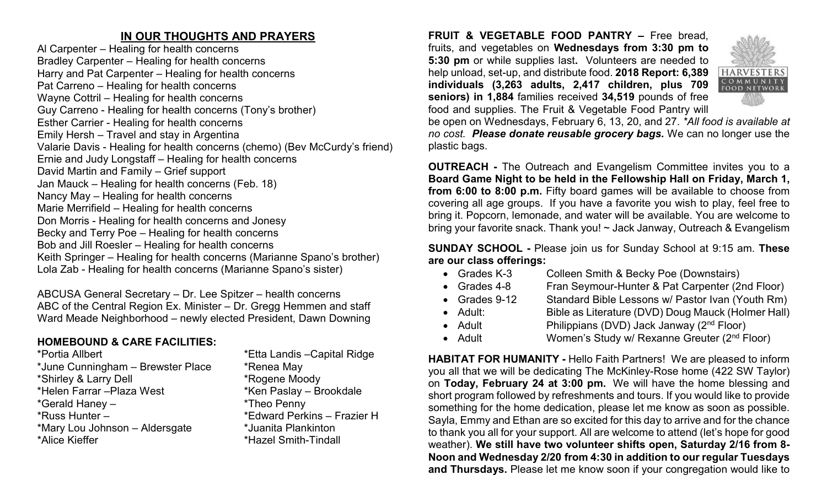#### **IN OUR THOUGHTS AND PRAYERS**

Al Carpenter – Healing for health concerns Bradley Carpenter – Healing for health concerns Harry and Pat Carpenter – Healing for health concerns Pat Carreno – Healing for health concerns Wayne Cottril – Healing for health concerns Guy Carreno - Healing for health concerns (Tony's brother) Esther Carrier - Healing for health concerns Emily Hersh – Travel and stay in Argentina Valarie Davis - Healing for health concerns (chemo) (Bev McCurdy's friend) Ernie and Judy Longstaff – Healing for health concerns David Martin and Family – Grief support Jan Mauck – Healing for health concerns (Feb. 18) Nancy May – Healing for health concerns Marie Merrifield – Healing for health concerns Don Morris - Healing for health concerns and Jonesy Becky and Terry Poe – Healing for health concerns Bob and Jill Roesler – Healing for health concerns Keith Springer – Healing for health concerns (Marianne Spano's brother) Lola Zab - Healing for health concerns (Marianne Spano's sister)

ABCUSA General Secretary – Dr. Lee Spitzer – health concerns ABC of the Central Region Ex. Minister – Dr. Gregg Hemmen and staff Ward Meade Neighborhood – newly elected President, Dawn Downing

#### **HOMEBOUND & CARE FACILITIES:**

\*Portia Allbert \*Etta Landis –Capital Ridge \*June Cunningham – Brewster Place \* \* Renea May \*Shirley & Larry Dell \*Rogene Moody \*Helen Farrar – Plaza West \*Ken Paslay – Brookdale \*Gerald Haney – \*Theo Penny \*Russ Hunter – \* \*Edward Perkins – Frazier H \*Mary Lou Johnson – Aldersgate \*Juanita Plankinton \*Alice Kieffer \*Hazel Smith-Tindall

**FRUIT & VEGETABLE FOOD PANTRY –** Free bread, fruits, and vegetables on **Wednesdays from 3:30 pm to 5:30 pm** or while supplies last**.** Volunteers are needed to help unload, set-up, and distribute food. **2018 Report: 6,389 individuals (3,263 adults, 2,417 children, plus 709 seniors) in 1,884** families received **34,519** pounds of free food and supplies. The Fruit & Vegetable Food Pantry will



be open on Wednesdays, February 6, 13, 20, and 27. *\*All food is available at no cost. Please donate reusable grocery bags.* We can no longer use the plastic bags.

**OUTREACH -** The Outreach and Evangelism Committee invites you to a **Board Game Night to be held in the Fellowship Hall on Friday, March 1, from 6:00 to 8:00 p.m.** Fifty board games will be available to choose from covering all age groups. If you have a favorite you wish to play, feel free to bring it. Popcorn, lemonade, and water will be available. You are welcome to bring your favorite snack. Thank you! ~ Jack Janway, Outreach & Evangelism

**SUNDAY SCHOOL -** Please join us for Sunday School at 9:15 am. **These are our class offerings:**

- Grades K-3 Colleen Smith & Becky Poe (Downstairs)
- Grades 4-8 Fran Seymour-Hunter & Pat Carpenter (2nd Floor)
- Grades 9-12 Standard Bible Lessons w/ Pastor Ivan (Youth Rm)
- Adult: Bible as Literature (DVD) Doug Mauck (Holmer Hall)
- Adult Philippians (DVD) Jack Janway (2<sup>nd</sup> Floor)
- Adult Women's Study w/ Rexanne Greuter (2<sup>nd</sup> Floor)

**HABITAT FOR HUMANITY -** Hello Faith Partners! We are pleased to inform you all that we will be dedicating The McKinley-Rose home (422 SW Taylor) on **Today, February 24 at 3:00 pm.** We will have the home blessing and short program followed by refreshments and tours. If you would like to provide something for the home dedication, please let me know as soon as possible. Sayla, Emmy and Ethan are so excited for this day to arrive and for the chance to thank you all for your support. All are welcome to attend (let's hope for good weather). **We still have two volunteer shifts open, Saturday 2/16 from 8- Noon and Wednesday 2/20 from 4:30 in addition to our regular Tuesdays and Thursdays.** Please let me know soon if your congregation would like to